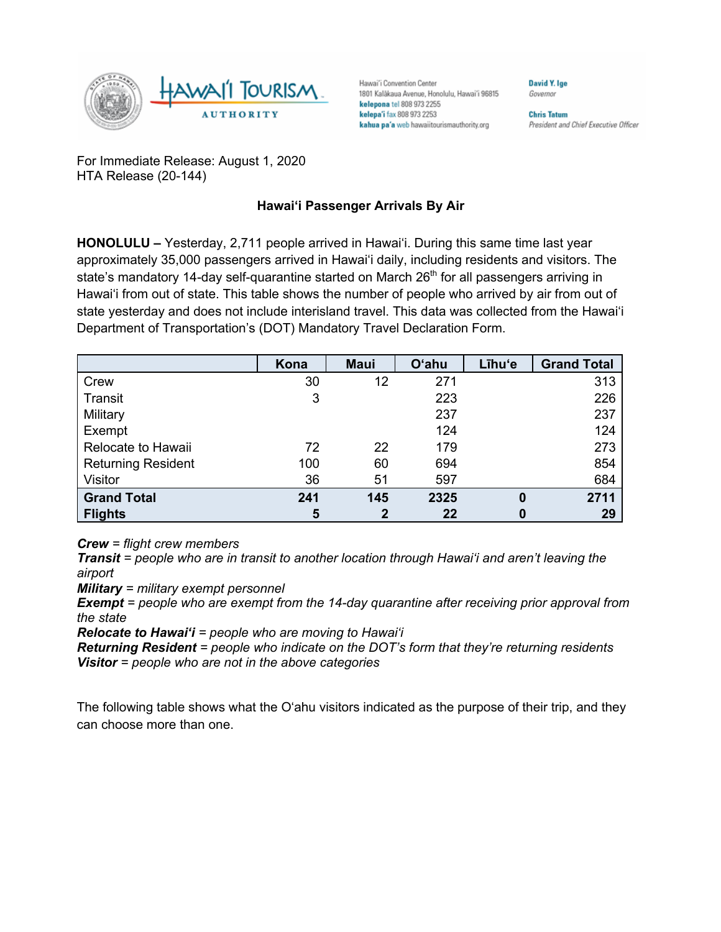

Hawai'i Convention Center 1801 Kalākaua Avenue, Honolulu, Hawai'i 96815 kelepona tel 808 973 2255 kelepa'i fax 808 973 2253 kahua pa'a web hawaiitourismauthority.org

Governor

**David Y. Ige** 

**Chris Tatum** President and Chief Executive Officer

For Immediate Release: August 1, 2020 HTA Release (20-144)

## **Hawai'i Passenger Arrivals By Air**

**HONOLULU –** Yesterday, 2,711 people arrived in Hawai'i. During this same time last year approximately 35,000 passengers arrived in Hawai'i daily, including residents and visitors. The state's mandatory 14-day self-quarantine started on March  $26<sup>th</sup>$  for all passengers arriving in Hawai'i from out of state. This table shows the number of people who arrived by air from out of state yesterday and does not include interisland travel. This data was collected from the Hawai'i Department of Transportation's (DOT) Mandatory Travel Declaration Form.

|                           | Kona | <b>Maui</b>  | O'ahu | Līhu'e   | <b>Grand Total</b> |
|---------------------------|------|--------------|-------|----------|--------------------|
| Crew                      | 30   | 12           | 271   |          | 313                |
| Transit                   | 3    |              | 223   |          | 226                |
| Military                  |      |              | 237   |          | 237                |
| Exempt                    |      |              | 124   |          | 124                |
| Relocate to Hawaii        | 72   | 22           | 179   |          | 273                |
| <b>Returning Resident</b> | 100  | 60           | 694   |          | 854                |
| Visitor                   | 36   | 51           | 597   |          | 684                |
| <b>Grand Total</b>        | 241  | 145          | 2325  | $\bf{0}$ | 2711               |
| <b>Flights</b>            | 5    | $\mathbf{2}$ | 22    | 0        | 29                 |

*Crew = flight crew members*

*Transit = people who are in transit to another location through Hawai'i and aren't leaving the airport*

*Military = military exempt personnel*

*Exempt = people who are exempt from the 14-day quarantine after receiving prior approval from the state*

*Relocate to Hawai'i = people who are moving to Hawai'i*

*Returning Resident = people who indicate on the DOT's form that they're returning residents Visitor = people who are not in the above categories*

The following table shows what the O'ahu visitors indicated as the purpose of their trip, and they can choose more than one.